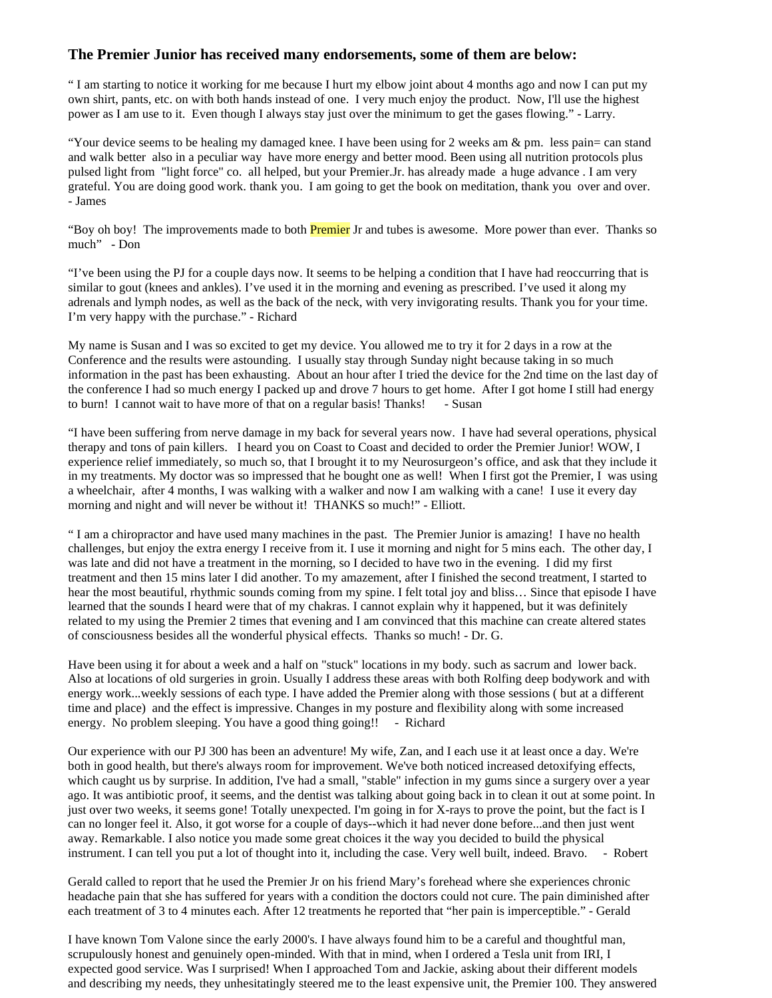## **The Premier Junior has received many endorsements, some of them are below:**

" I am starting to notice it working for me because I hurt my elbow joint about 4 months ago and now I can put my own shirt, pants, etc. on with both hands instead of one. I very much enjoy the product. Now, I'll use the highest power as I am use to it. Even though I always stay just over the minimum to get the gases flowing." - Larry.

"Your device seems to be healing my damaged knee. I have been using for 2 weeks am & pm. less pain= can stand and walk better also in a peculiar way have more energy and better mood. Been using all nutrition protocols plus pulsed light from "light force" co. all helped, but your Premier.Jr. has already made a huge advance . I am very grateful. You are doing good work. thank you. I am going to get the book on meditation, thank you over and over. - James

"Boy oh boy! The improvements made to both **Premier** Jr and tubes is awesome. More power than ever. Thanks so much" - Don

"I've been using the PJ for a couple days now. It seems to be helping a condition that I have had reoccurring that is similar to gout (knees and ankles). I've used it in the morning and evening as prescribed. I've used it along my adrenals and lymph nodes, as well as the back of the neck, with very invigorating results. Thank you for your time. I'm very happy with the purchase." - Richard

My name is Susan and I was so excited to get my device. You allowed me to try it for 2 days in a row at the Conference and the results were astounding. I usually stay through Sunday night because taking in so much information in the past has been exhausting. About an hour after I tried the device for the 2nd time on the last day of the conference I had so much energy I packed up and drove 7 hours to get home. After I got home I still had energy to burn! I cannot wait to have more of that on a regular basis! Thanks! - Susan

"I have been suffering from nerve damage in my back for several years now. I have had several operations, physical therapy and tons of pain killers. I heard you on Coast to Coast and decided to order the Premier Junior! WOW, I experience relief immediately, so much so, that I brought it to my Neurosurgeon's office, and ask that they include it in my treatments. My doctor was so impressed that he bought one as well! When I first got the Premier, I was using a wheelchair, after 4 months, I was walking with a walker and now I am walking with a cane! I use it every day morning and night and will never be without it! THANKS so much!" - Elliott.

" I am a chiropractor and have used many machines in the past. The Premier Junior is amazing! I have no health challenges, but enjoy the extra energy I receive from it. I use it morning and night for 5 mins each. The other day, I was late and did not have a treatment in the morning, so I decided to have two in the evening. I did my first treatment and then 15 mins later I did another. To my amazement, after I finished the second treatment, I started to hear the most beautiful, rhythmic sounds coming from my spine. I felt total joy and bliss… Since that episode I have learned that the sounds I heard were that of my chakras. I cannot explain why it happened, but it was definitely related to my using the Premier 2 times that evening and I am convinced that this machine can create altered states of consciousness besides all the wonderful physical effects. Thanks so much! - Dr. G.

Have been using it for about a week and a half on "stuck" locations in my body. such as sacrum and lower back. Also at locations of old surgeries in groin. Usually I address these areas with both Rolfing deep bodywork and with energy work...weekly sessions of each type. I have added the Premier along with those sessions ( but at a different time and place) and the effect is impressive. Changes in my posture and flexibility along with some increased energy. No problem sleeping. You have a good thing going!! - Richard

Our experience with our PJ 300 has been an adventure! My wife, Zan, and I each use it at least once a day. We're both in good health, but there's always room for improvement. We've both noticed increased detoxifying effects, which caught us by surprise. In addition, I've had a small, "stable" infection in my gums since a surgery over a year ago. It was antibiotic proof, it seems, and the dentist was talking about going back in to clean it out at some point. In just over two weeks, it seems gone! Totally unexpected. I'm going in for X-rays to prove the point, but the fact is I can no longer feel it. Also, it got worse for a couple of days--which it had never done before...and then just went away. Remarkable. I also notice you made some great choices it the way you decided to build the physical instrument. I can tell you put a lot of thought into it, including the case. Very well built, indeed. Bravo. - Robert

Gerald called to report that he used the Premier Jr on his friend Mary's forehead where she experiences chronic headache pain that she has suffered for years with a condition the doctors could not cure. The pain diminished after each treatment of 3 to 4 minutes each. After 12 treatments he reported that "her pain is imperceptible." - Gerald

I have known Tom Valone since the early 2000's. I have always found him to be a careful and thoughtful man, scrupulously honest and genuinely open-minded. With that in mind, when I ordered a Tesla unit from IRI, I expected good service. Was I surprised! When I approached Tom and Jackie, asking about their different models and describing my needs, they unhesitatingly steered me to the least expensive unit, the Premier 100. They answered